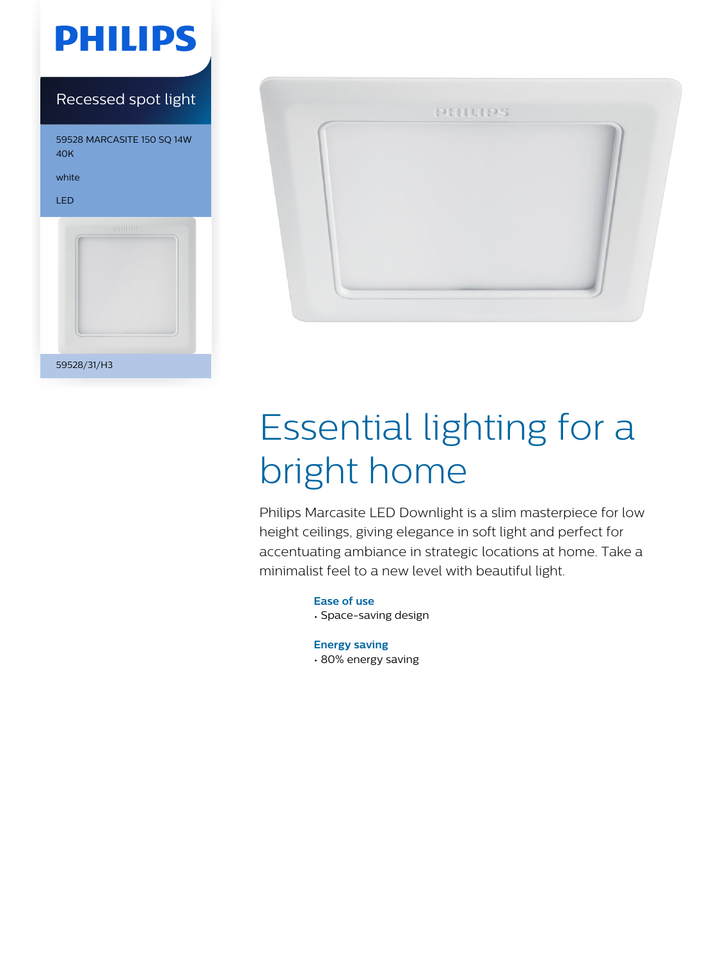

### Recessed spot light

59528 MARCASITE 150 SQ 14W 40K white LED 59528/31/H3



# Essential lighting for a bright home

Philips Marcasite LED Downlight is a slim masterpiece for low height ceilings, giving elegance in soft light and perfect for accentuating ambiance in strategic locations at home. Take a minimalist feel to a new level with beautiful light.

> **Ease of use** • Space-saving design

**Energy saving** • 80% energy saving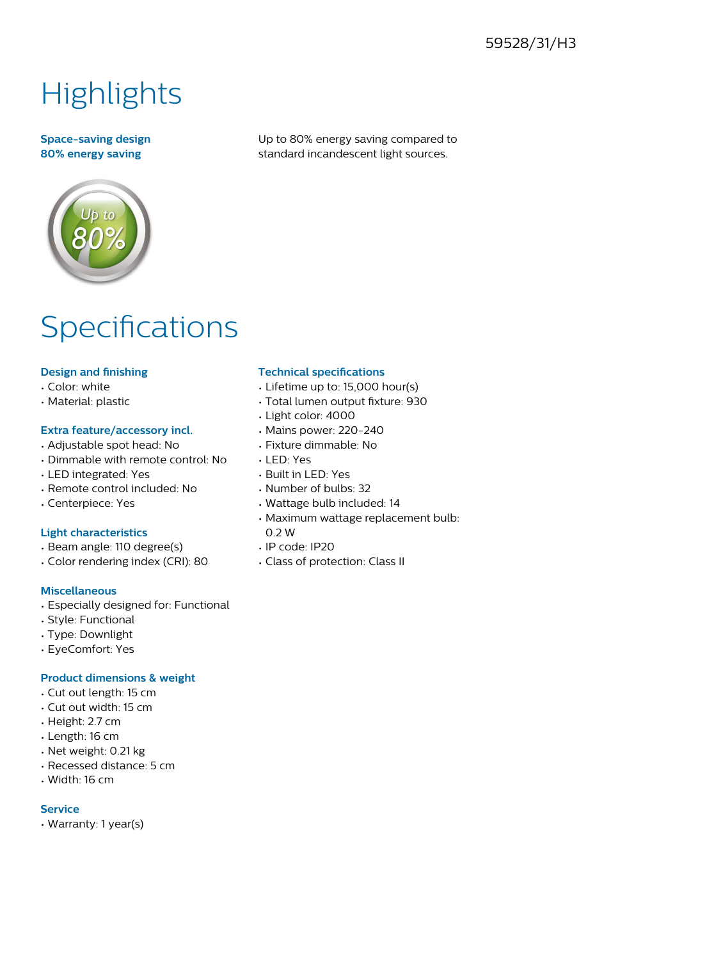#### 59528/31/H3

## **Highlights**

#### **Space-saving design 80% energy saving**

Up to 80% energy saving compared to standard incandescent light sources.

### Specifications

#### **Design and finishing**

- Color: white
- Material: plastic

#### **Extra feature/accessory incl.**

- Adjustable spot head: No
- Dimmable with remote control: No
- LED integrated: Yes
- Remote control included: No
- Centerpiece: Yes

#### **Light characteristics**

- Beam angle: 110 degree(s)
- Color rendering index (CRI): 80

#### **Miscellaneous**

- Especially designed for: Functional
- Style: Functional
- Type: Downlight
- EyeComfort: Yes

#### **Product dimensions & weight**

- Cut out length: 15 cm
- Cut out width: 15 cm
- Height: 2.7 cm
- Length: 16 cm
- Net weight: 0.21 kg
- Recessed distance: 5 cm
- Width: 16 cm

#### **Service**

• Warranty: 1 year(s)

#### **Technical specifications**

- Lifetime up to: 15,000 hour(s)
- Total lumen output fixture: 930
- Light color: 4000
- Mains power: 220-240
- Fixture dimmable: No
- LED: Yes
- Built in LED: Yes
- Number of bulbs: 32
- Wattage bulb included: 14
- Maximum wattage replacement bulb: 0.2 W
- IP code: IP20
- Class of protection: Class II